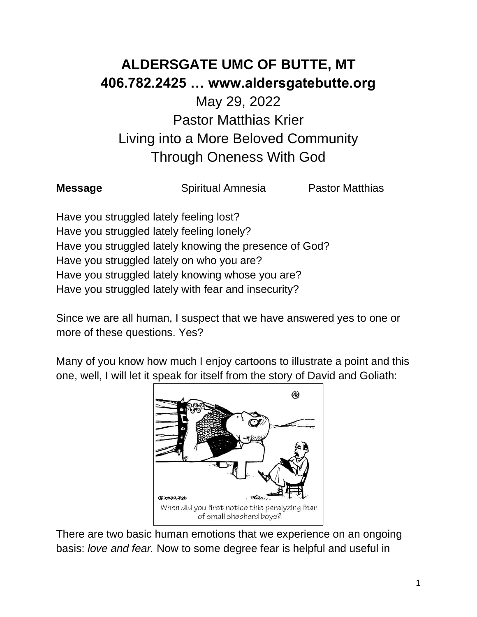## **ALDERSGATE UMC OF BUTTE, MT 406.782.2425 … www.aldersgatebutte.org**

## May 29, 2022 Pastor Matthias Krier Living into a More Beloved Community Through Oneness With God

**Message Spiritual Amnesia Pastor Matthias** 

Have you struggled lately feeling lost? Have you struggled lately feeling lonely? Have you struggled lately knowing the presence of God? Have you struggled lately on who you are? Have you struggled lately knowing whose you are? Have you struggled lately with fear and insecurity?

Since we are all human, I suspect that we have answered yes to one or more of these questions. Yes?

Many of you know how much I enjoy cartoons to illustrate a point and this one, well, I will let it speak for itself from the story of David and Goliath:



There are two basic human emotions that we experience on an ongoing basis: *love and fear.* Now to some degree fear is helpful and useful in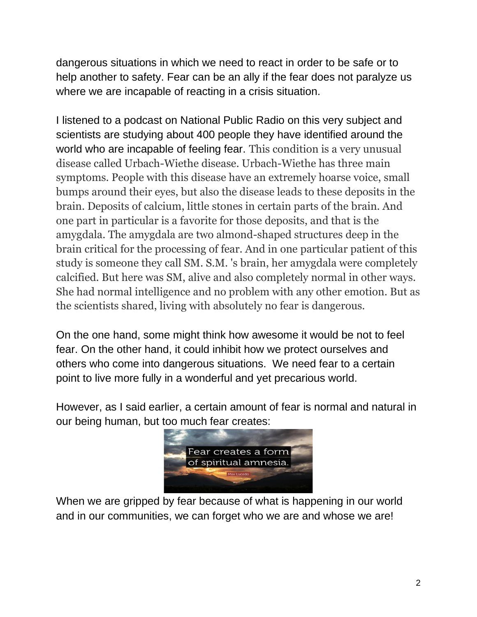dangerous situations in which we need to react in order to be safe or to help another to safety. Fear can be an ally if the fear does not paralyze us where we are incapable of reacting in a crisis situation.

I listened to a podcast on National Public Radio on this very subject and scientists are studying about 400 people they have identified around the world who are incapable of feeling fear. This condition is a very unusual disease called Urbach-Wiethe disease. Urbach-Wiethe has three main symptoms. People with this disease have an extremely hoarse voice, small bumps around their eyes, but also the disease leads to these deposits in the brain. Deposits of calcium, little stones in certain parts of the brain. And one part in particular is a favorite for those deposits, and that is the amygdala. The amygdala are two almond-shaped structures deep in the brain critical for the processing of fear. And in one particular patient of this study is someone they call SM. S.M. 's brain, her amygdala were completely calcified. But here was SM, alive and also completely normal in other ways. She had normal intelligence and no problem with any other emotion. But as the scientists shared, living with absolutely no fear is dangerous.

On the one hand, some might think how awesome it would be not to feel fear. On the other hand, it could inhibit how we protect ourselves and others who come into dangerous situations. We need fear to a certain point to live more fully in a wonderful and yet precarious world.

However, as I said earlier, a certain amount of fear is normal and natural in our being human, but too much fear creates:



When we are gripped by fear because of what is happening in our world and in our communities, we can forget who we are and whose we are!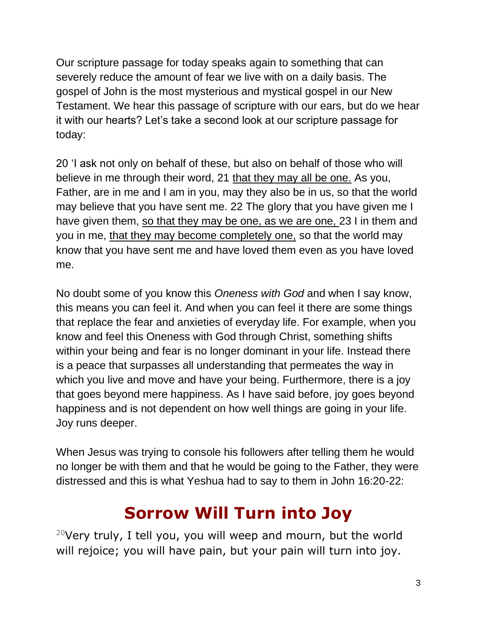Our scripture passage for today speaks again to something that can severely reduce the amount of fear we live with on a daily basis. The gospel of John is the most mysterious and mystical gospel in our New Testament. We hear this passage of scripture with our ears, but do we hear it with our hearts? Let's take a second look at our scripture passage for today:

20 'I ask not only on behalf of these, but also on behalf of those who will believe in me through their word, 21 that they may all be one. As you, Father, are in me and I am in you, may they also be in us, so that the world may believe that you have sent me. 22 The glory that you have given me I have given them, so that they may be one, as we are one, 23 I in them and you in me, that they may become completely one, so that the world may know that you have sent me and have loved them even as you have loved me.

No doubt some of you know this *Oneness with God* and when I say know, this means you can feel it. And when you can feel it there are some things that replace the fear and anxieties of everyday life. For example, when you know and feel this Oneness with God through Christ, something shifts within your being and fear is no longer dominant in your life. Instead there is a peace that surpasses all understanding that permeates the way in which you live and move and have your being. Furthermore, there is a joy that goes beyond mere happiness. As I have said before, joy goes beyond happiness and is not dependent on how well things are going in your life. Joy runs deeper.

When Jesus was trying to console his followers after telling them he would no longer be with them and that he would be going to the Father, they were distressed and this is what Yeshua had to say to them in John 16:20-22:

## **Sorrow Will Turn into Joy**

<sup>20</sup>Very truly, I tell you, you will weep and mourn, but the world will rejoice; you will have pain, but your pain will turn into joy.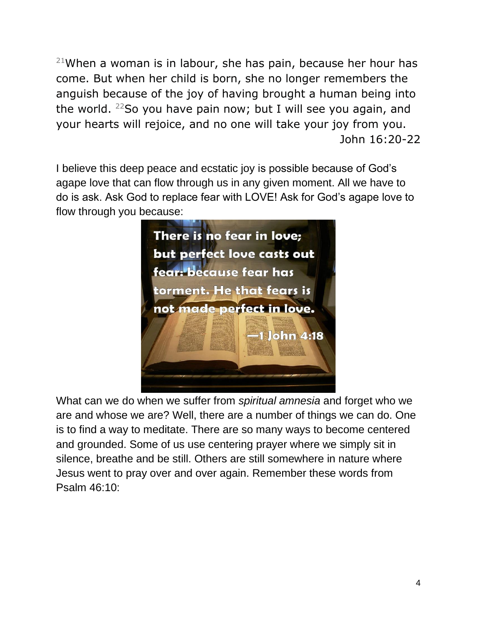$21$ When a woman is in labour, she has pain, because her hour has come. But when her child is born, she no longer remembers the anguish because of the joy of having brought a human being into the world.  $22$ So you have pain now; but I will see you again, and your hearts will rejoice, and no one will take your joy from you. John 16:20-22

I believe this deep peace and ecstatic joy is possible because of God's agape love that can flow through us in any given moment. All we have to do is ask. Ask God to replace fear with LOVE! Ask for God's agape love to flow through you because:



What can we do when we suffer from *spiritual amnesia* and forget who we are and whose we are? Well, there are a number of things we can do. One is to find a way to meditate. There are so many ways to become centered and grounded. Some of us use centering prayer where we simply sit in silence, breathe and be still. Others are still somewhere in nature where Jesus went to pray over and over again. Remember these words from Psalm 46:10: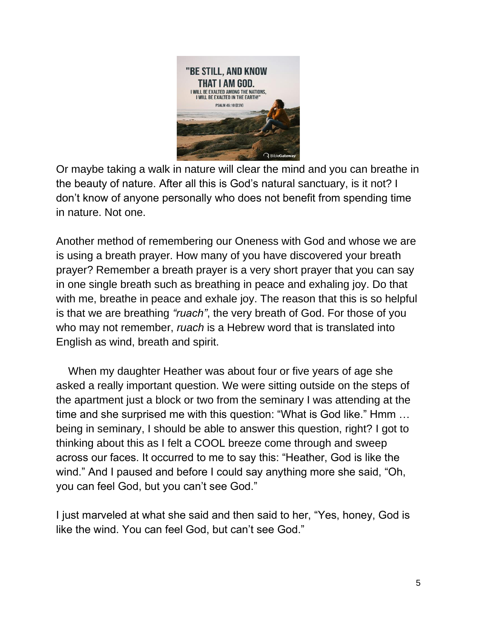

Or maybe taking a walk in nature will clear the mind and you can breathe in the beauty of nature. After all this is God's natural sanctuary, is it not? I don't know of anyone personally who does not benefit from spending time in nature. Not one.

Another method of remembering our Oneness with God and whose we are is using a breath prayer. How many of you have discovered your breath prayer? Remember a breath prayer is a very short prayer that you can say in one single breath such as breathing in peace and exhaling joy. Do that with me, breathe in peace and exhale joy. The reason that this is so helpful is that we are breathing *"ruach"*, the very breath of God. For those of you who may not remember, *ruach* is a Hebrew word that is translated into English as wind, breath and spirit.

 When my daughter Heather was about four or five years of age she asked a really important question. We were sitting outside on the steps of the apartment just a block or two from the seminary I was attending at the time and she surprised me with this question: "What is God like." Hmm … being in seminary, I should be able to answer this question, right? I got to thinking about this as I felt a COOL breeze come through and sweep across our faces. It occurred to me to say this: "Heather, God is like the wind." And I paused and before I could say anything more she said, "Oh, you can feel God, but you can't see God."

I just marveled at what she said and then said to her, "Yes, honey, God is like the wind. You can feel God, but can't see God."